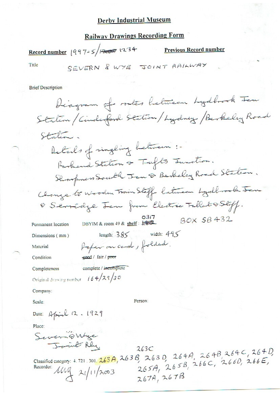## **Derby Industrial Museum**

## **Railway Drawings Recording Form**

Record number  $|997-5|$  =  $\sqrt{234}$ 

**Previous Record number** 

Title

SEVERN & WYE JOINT RAILWAY

**Brief Description** 

| Diagram of routes between Lydbrock Jen                                                                    |
|-----------------------------------------------------------------------------------------------------------|
| Station / Cinderford Station / Lydney / Berkeley Road                                                     |
| Station.                                                                                                  |
| Details of singling between :-                                                                            |
| Rarbend Station & Tufts Junction.                                                                         |
| Shorpners South Jan & Berkeley Road Staten.                                                               |
| Change to Wooden Train Stoff between Lydbrook Jen                                                         |
| O Servidge Jen from Electric Tallat OStoff.                                                               |
| BOX 5B432<br>DBYIM & room $49$ & shelf:<br>Permanent location                                             |
| length: $385$ width: $495$<br>Dimensions (mm)                                                             |
| Kaper on card, folded.<br>Material                                                                        |
| geed / fair / poor<br>Condition                                                                           |
| complete / incomplete<br>Completeness                                                                     |
| 164/29/30<br>Original drawing number                                                                      |
| Company:                                                                                                  |
| Person:<br>Scale:                                                                                         |
| Date: April 12. 1929                                                                                      |
| Place:                                                                                                    |
| Severnöwige<br>James Rly.                                                                                 |
| 263C                                                                                                      |
| Classified category: 4.721.301.263A, 263B, 263D, 264A, 264B, 264C, 264D,<br>265A, 265B, 266C, 2660, 266E, |
| Recorder:<br>$1442 \times 1112003$                                                                        |
| 767A 267B                                                                                                 |